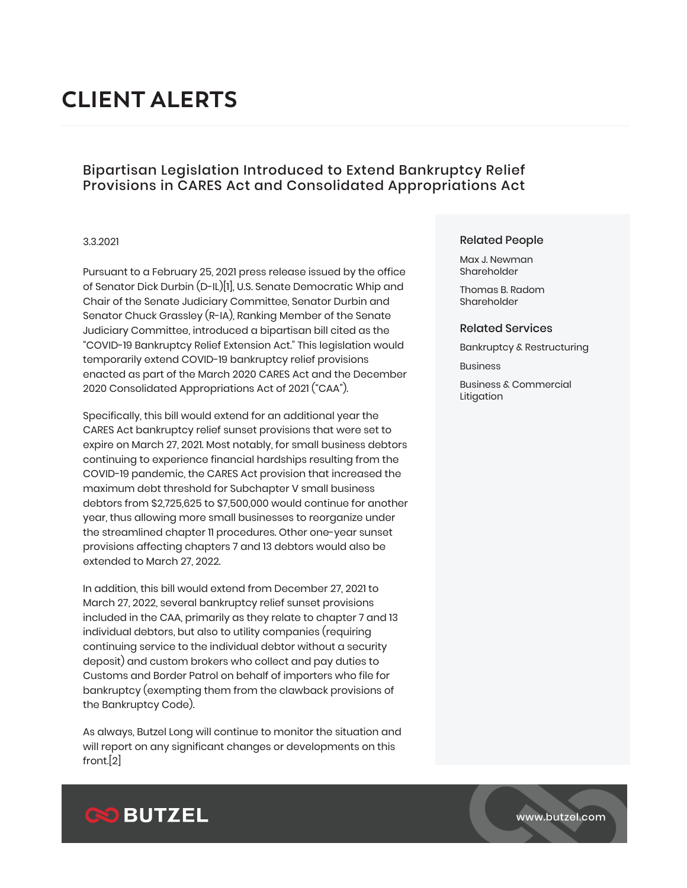# **CLIENT ALERTS**

## Bipartisan Legislation Introduced to Extend Bankruptcy Relief Provisions in CARES Act and Consolidated Appropriations Act

### 3.3.2021

Pursuant to a February 25, 2021 press release issued by the office of Senator Dick Durbin (D-IL)[1], U.S. Senate Democratic Whip and Chair of the Senate Judiciary Committee, Senator Durbin and Senator Chuck Grassley (R-IA), Ranking Member of the Senate Judiciary Committee, introduced a bipartisan bill cited as the "COVID-19 Bankruptcy Relief Extension Act." This legislation would temporarily extend COVID-19 bankruptcy relief provisions enacted as part of the March 2020 CARES Act and the December 2020 Consolidated Appropriations Act of 2021 ("CAA").

Specifically, this bill would extend for an additional year the CARES Act bankruptcy relief sunset provisions that were set to expire on March 27, 2021. Most notably, for small business debtors continuing to experience financial hardships resulting from the COVID-19 pandemic, the CARES Act provision that increased the maximum debt threshold for Subchapter V small business debtors from \$2,725,625 to \$7,500,000 would continue for another year, thus allowing more small businesses to reorganize under the streamlined chapter 11 procedures. Other one-year sunset provisions affecting chapters 7 and 13 debtors would also be extended to March 27, 2022.

In addition, this bill would extend from December 27, 2021 to March 27, 2022, several bankruptcy relief sunset provisions included in the CAA, primarily as they relate to chapter 7 and 13 individual debtors, but also to utility companies (requiring continuing service to the individual debtor without a security deposit) and custom brokers who collect and pay duties to Customs and Border Patrol on behalf of importers who file for bankruptcy (exempting them from the clawback provisions of the Bankruptcy Code).

As always, Butzel Long will continue to monitor the situation and will report on any significant changes or developments on this front.[2]

## Related People

Max J. Newman Shareholder

Thomas B. Radom Shareholder

#### Related Services

Bankruptcy & Restructuring

Business

Business & Commercial Litigation



www.butzel.com